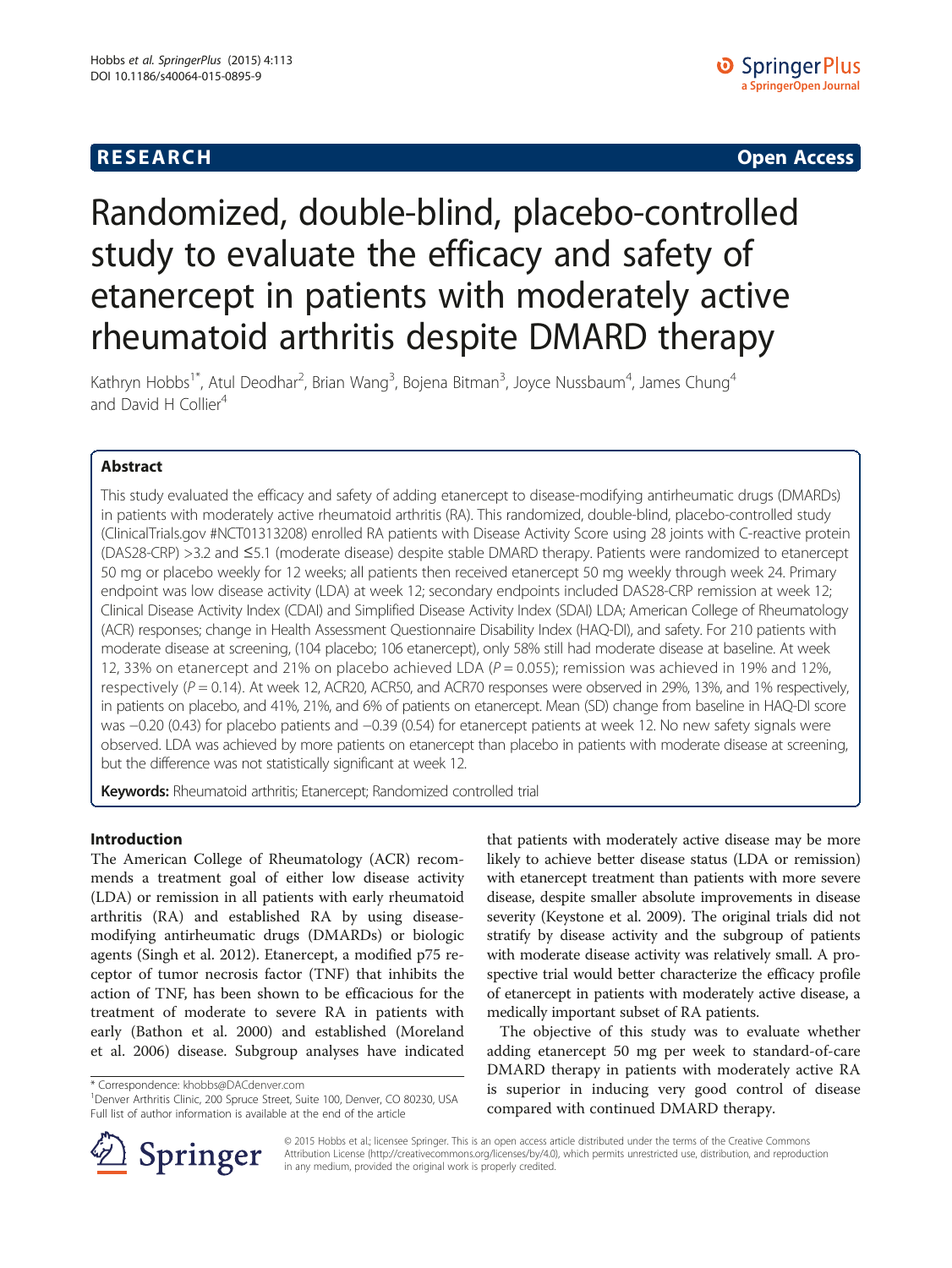# **RESEARCH CHINESE ARCH CHINESE ARCH CHINESE ARCH <b>CHINESE ARCH**

# Randomized, double-blind, placebo-controlled study to evaluate the efficacy and safety of etanercept in patients with moderately active rheumatoid arthritis despite DMARD therapy

Kathryn Hobbs<sup>1\*</sup>, Atul Deodhar<sup>2</sup>, Brian Wang<sup>3</sup>, Bojena Bitman<sup>3</sup>, Joyce Nussbaum<sup>4</sup>, James Chung<sup>4</sup> and David H Collier<sup>4</sup>

## Abstract

This study evaluated the efficacy and safety of adding etanercept to disease-modifying antirheumatic drugs (DMARDs) in patients with moderately active rheumatoid arthritis (RA). This randomized, double-blind, placebo-controlled study (ClinicalTrials.gov #NCT01313208) enrolled RA patients with Disease Activity Score using 28 joints with C-reactive protein (DAS28-CRP) >3.2 and ≤5.1 (moderate disease) despite stable DMARD therapy. Patients were randomized to etanercept 50 mg or placebo weekly for 12 weeks; all patients then received etanercept 50 mg weekly through week 24. Primary endpoint was low disease activity (LDA) at week 12; secondary endpoints included DAS28-CRP remission at week 12; Clinical Disease Activity Index (CDAI) and Simplified Disease Activity Index (SDAI) LDA; American College of Rheumatology (ACR) responses; change in Health Assessment Questionnaire Disability Index (HAQ-DI), and safety. For 210 patients with moderate disease at screening, (104 placebo; 106 etanercept), only 58% still had moderate disease at baseline. At week 12, 33% on etanercept and 21% on placebo achieved LDA ( $P = 0.055$ ); remission was achieved in 19% and 12%, respectively ( $P = 0.14$ ). At week 12, ACR20, ACR50, and ACR70 responses were observed in 29%, 13%, and 1% respectively, in patients on placebo, and 41%, 21%, and 6% of patients on etanercept. Mean (SD) change from baseline in HAQ-DI score was −0.20 (0.43) for placebo patients and −0.39 (0.54) for etanercept patients at week 12. No new safety signals were observed. LDA was achieved by more patients on etanercept than placebo in patients with moderate disease at screening, but the difference was not statistically significant at week 12.

Keywords: Rheumatoid arthritis; Etanercept; Randomized controlled trial

#### Introduction

The American College of Rheumatology (ACR) recommends a treatment goal of either low disease activity (LDA) or remission in all patients with early rheumatoid arthritis (RA) and established RA by using diseasemodifying antirheumatic drugs (DMARDs) or biologic agents (Singh et al. [2012](#page-6-0)). Etanercept, a modified p75 receptor of tumor necrosis factor (TNF) that inhibits the action of TNF, has been shown to be efficacious for the treatment of moderate to severe RA in patients with early (Bathon et al. [2000\)](#page-6-0) and established (Moreland et al. [2006](#page-6-0)) disease. Subgroup analyses have indicated

\* Correspondence: [khobbs@DACdenver.com](mailto:khobbs@DACdenver.com) <sup>1</sup>



The objective of this study was to evaluate whether adding etanercept 50 mg per week to standard-of-care DMARD therapy in patients with moderately active RA is superior in inducing very good control of disease compared with continued DMARD therapy.



© 2015 Hobbs et al.; licensee Springer. This is an open access article distributed under the terms of the Creative Commons Attribution License [\(http://creativecommons.org/licenses/by/4.0\)](http://creativecommons.org/licenses/by/4.0), which permits unrestricted use, distribution, and reproduction in any medium, provided the original work is properly credited.

<sup>&</sup>lt;sup>1</sup>Denver Arthritis Clinic, 200 Spruce Street, Suite 100, Denver, CO 80230, USA Full list of author information is available at the end of the article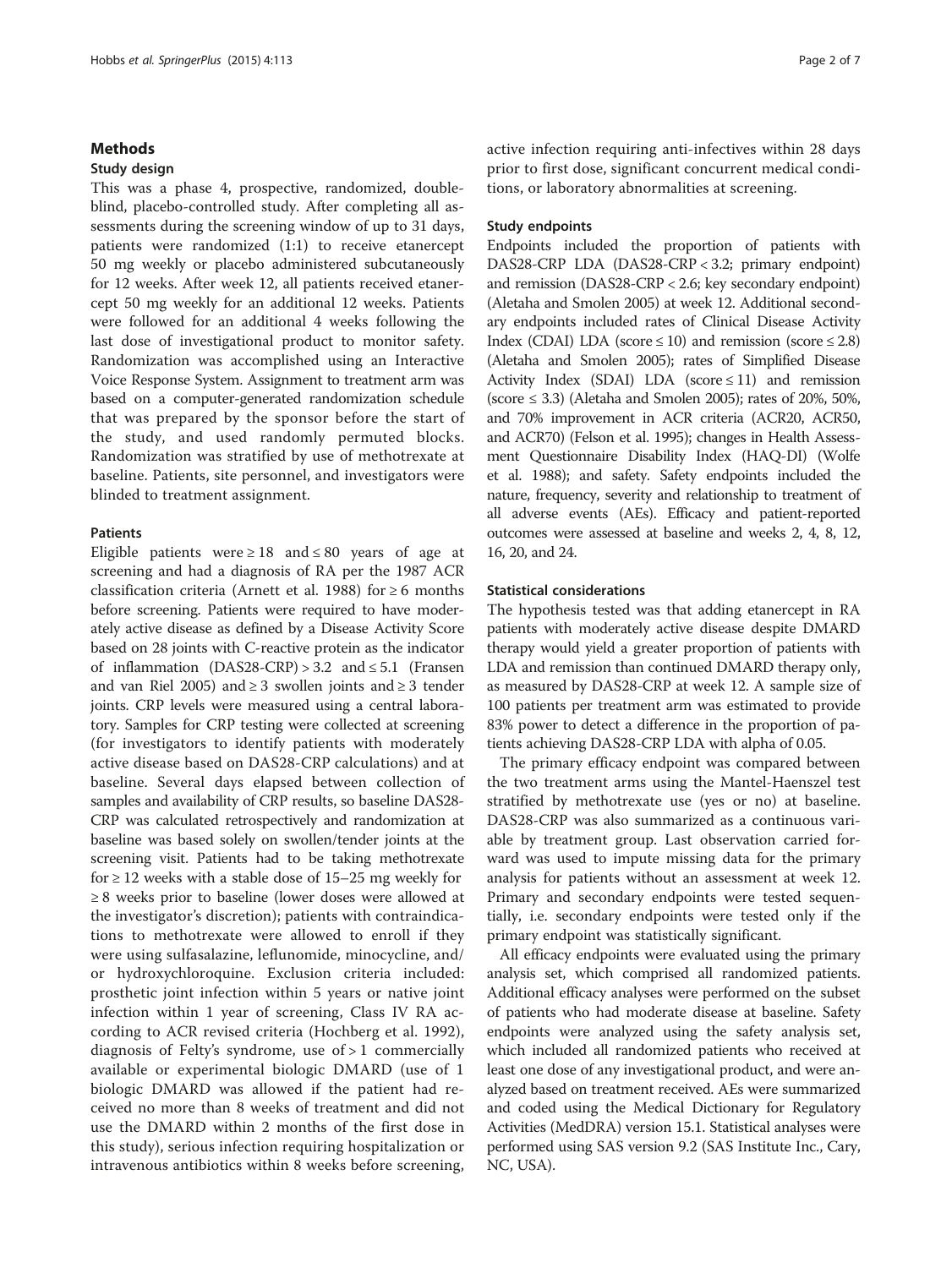#### **Methods**

#### Study design

This was a phase 4, prospective, randomized, doubleblind, placebo-controlled study. After completing all assessments during the screening window of up to 31 days, patients were randomized (1:1) to receive etanercept 50 mg weekly or placebo administered subcutaneously for 12 weeks. After week 12, all patients received etanercept 50 mg weekly for an additional 12 weeks. Patients were followed for an additional 4 weeks following the last dose of investigational product to monitor safety. Randomization was accomplished using an Interactive Voice Response System. Assignment to treatment arm was based on a computer-generated randomization schedule that was prepared by the sponsor before the start of the study, and used randomly permuted blocks. Randomization was stratified by use of methotrexate at baseline. Patients, site personnel, and investigators were blinded to treatment assignment.

#### Patients

Eligible patients were  $\geq 18$  and  $\leq 80$  years of age at screening and had a diagnosis of RA per the 1987 ACR classification criteria (Arnett et al. [1988\)](#page-6-0) for  $\geq 6$  months before screening. Patients were required to have moderately active disease as defined by a Disease Activity Score based on 28 joints with C-reactive protein as the indicator of inflammation  $(DAS28-CRP) > 3.2$  and  $\leq 5.1$  (Fransen and van Riel [2005](#page-6-0)) and  $\geq$  3 swollen joints and  $\geq$  3 tender joints. CRP levels were measured using a central laboratory. Samples for CRP testing were collected at screening (for investigators to identify patients with moderately active disease based on DAS28-CRP calculations) and at baseline. Several days elapsed between collection of samples and availability of CRP results, so baseline DAS28- CRP was calculated retrospectively and randomization at baseline was based solely on swollen/tender joints at the screening visit. Patients had to be taking methotrexate for  $\geq$  12 weeks with a stable dose of 15–25 mg weekly for ≥ 8 weeks prior to baseline (lower doses were allowed at the investigator's discretion); patients with contraindications to methotrexate were allowed to enroll if they were using sulfasalazine, leflunomide, minocycline, and/ or hydroxychloroquine. Exclusion criteria included: prosthetic joint infection within 5 years or native joint infection within 1 year of screening, Class IV RA according to ACR revised criteria (Hochberg et al. [1992](#page-6-0)), diagnosis of Felty's syndrome, use of  $> 1$  commercially available or experimental biologic DMARD (use of 1 biologic DMARD was allowed if the patient had received no more than 8 weeks of treatment and did not use the DMARD within 2 months of the first dose in this study), serious infection requiring hospitalization or intravenous antibiotics within 8 weeks before screening, active infection requiring anti-infectives within 28 days prior to first dose, significant concurrent medical conditions, or laboratory abnormalities at screening.

#### Study endpoints

Endpoints included the proportion of patients with DAS28-CRP LDA (DAS28-CRP < 3.2; primary endpoint) and remission (DAS28-CRP < 2.6; key secondary endpoint) (Aletaha and Smolen [2005\)](#page-6-0) at week 12. Additional secondary endpoints included rates of Clinical Disease Activity Index (CDAI) LDA (score  $\leq$  10) and remission (score  $\leq$  2.8) (Aletaha and Smolen [2005\)](#page-6-0); rates of Simplified Disease Activity Index (SDAI) LDA (score  $\leq$  11) and remission (score  $\leq$  3.3) (Aletaha and Smolen [2005](#page-6-0)); rates of 20%, 50%, and 70% improvement in ACR criteria (ACR20, ACR50, and ACR70) (Felson et al. [1995\)](#page-6-0); changes in Health Assessment Questionnaire Disability Index (HAQ-DI) (Wolfe et al. [1988](#page-6-0)); and safety. Safety endpoints included the nature, frequency, severity and relationship to treatment of all adverse events (AEs). Efficacy and patient-reported outcomes were assessed at baseline and weeks 2, 4, 8, 12, 16, 20, and 24.

#### Statistical considerations

The hypothesis tested was that adding etanercept in RA patients with moderately active disease despite DMARD therapy would yield a greater proportion of patients with LDA and remission than continued DMARD therapy only, as measured by DAS28-CRP at week 12. A sample size of 100 patients per treatment arm was estimated to provide 83% power to detect a difference in the proportion of patients achieving DAS28-CRP LDA with alpha of 0.05.

The primary efficacy endpoint was compared between the two treatment arms using the Mantel-Haenszel test stratified by methotrexate use (yes or no) at baseline. DAS28-CRP was also summarized as a continuous variable by treatment group. Last observation carried forward was used to impute missing data for the primary analysis for patients without an assessment at week 12. Primary and secondary endpoints were tested sequentially, i.e. secondary endpoints were tested only if the primary endpoint was statistically significant.

All efficacy endpoints were evaluated using the primary analysis set, which comprised all randomized patients. Additional efficacy analyses were performed on the subset of patients who had moderate disease at baseline. Safety endpoints were analyzed using the safety analysis set, which included all randomized patients who received at least one dose of any investigational product, and were analyzed based on treatment received. AEs were summarized and coded using the Medical Dictionary for Regulatory Activities (MedDRA) version 15.1. Statistical analyses were performed using SAS version 9.2 (SAS Institute Inc., Cary, NC, USA).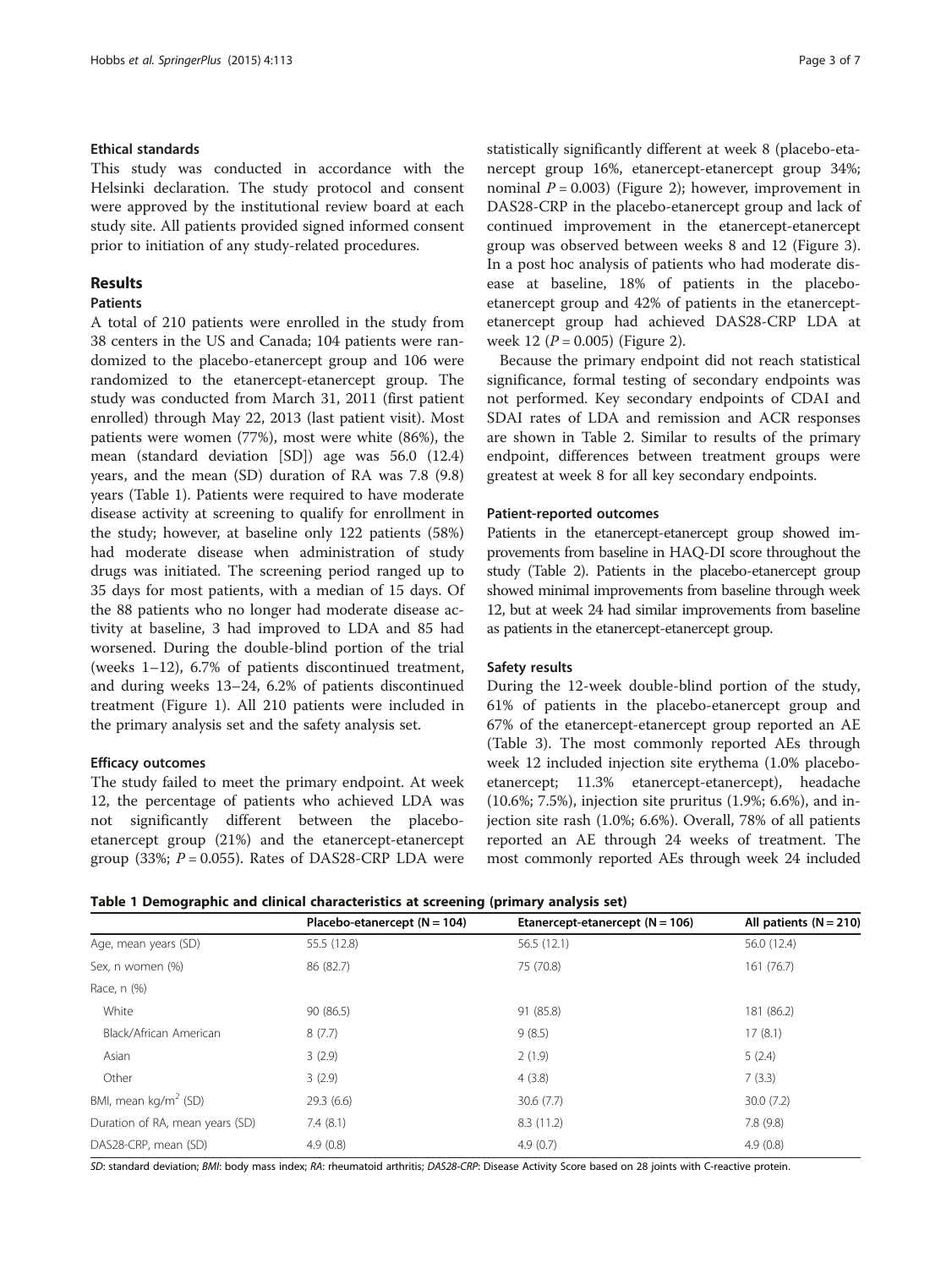#### Ethical standards

This study was conducted in accordance with the Helsinki declaration. The study protocol and consent were approved by the institutional review board at each study site. All patients provided signed informed consent prior to initiation of any study-related procedures.

#### Results

#### Patients

A total of 210 patients were enrolled in the study from 38 centers in the US and Canada; 104 patients were randomized to the placebo-etanercept group and 106 were randomized to the etanercept-etanercept group. The study was conducted from March 31, 2011 (first patient enrolled) through May 22, 2013 (last patient visit). Most patients were women (77%), most were white (86%), the mean (standard deviation [SD]) age was 56.0 (12.4) years, and the mean (SD) duration of RA was 7.8 (9.8) years (Table 1). Patients were required to have moderate disease activity at screening to qualify for enrollment in the study; however, at baseline only 122 patients (58%) had moderate disease when administration of study drugs was initiated. The screening period ranged up to 35 days for most patients, with a median of 15 days. Of the 88 patients who no longer had moderate disease activity at baseline, 3 had improved to LDA and 85 had worsened. During the double-blind portion of the trial (weeks 1–12), 6.7% of patients discontinued treatment, and during weeks 13–24, 6.2% of patients discontinued treatment (Figure [1\)](#page-3-0). All 210 patients were included in the primary analysis set and the safety analysis set.

### Efficacy outcomes

The study failed to meet the primary endpoint. At week 12, the percentage of patients who achieved LDA was not significantly different between the placeboetanercept group (21%) and the etanercept-etanercept group (33%;  $P = 0.055$ ). Rates of DAS28-CRP LDA were statistically significantly different at week 8 (placebo-etanercept group 16%, etanercept-etanercept group 34%; nominal  $P = 0.003$ ) (Figure [2](#page-3-0)); however, improvement in DAS28-CRP in the placebo-etanercept group and lack of continued improvement in the etanercept-etanercept group was observed between weeks 8 and 12 (Figure [3](#page-4-0)). In a post hoc analysis of patients who had moderate disease at baseline, 18% of patients in the placeboetanercept group and 42% of patients in the etanerceptetanercept group had achieved DAS28-CRP LDA at week 12 ( $P = 0.005$ ) (Figure [2\)](#page-3-0).

Because the primary endpoint did not reach statistical significance, formal testing of secondary endpoints was not performed. Key secondary endpoints of CDAI and SDAI rates of LDA and remission and ACR responses are shown in Table [2.](#page-5-0) Similar to results of the primary endpoint, differences between treatment groups were greatest at week 8 for all key secondary endpoints.

#### Patient-reported outcomes

Patients in the etanercept-etanercept group showed improvements from baseline in HAQ-DI score throughout the study (Table [2\)](#page-5-0). Patients in the placebo-etanercept group showed minimal improvements from baseline through week 12, but at week 24 had similar improvements from baseline as patients in the etanercept-etanercept group.

#### Safety results

During the 12-week double-blind portion of the study, 61% of patients in the placebo-etanercept group and 67% of the etanercept-etanercept group reported an AE (Table [3\)](#page-5-0). The most commonly reported AEs through week 12 included injection site erythema (1.0% placeboetanercept; 11.3% etanercept-etanercept), headache (10.6%; 7.5%), injection site pruritus (1.9%; 6.6%), and injection site rash (1.0%; 6.6%). Overall, 78% of all patients reported an AE through 24 weeks of treatment. The most commonly reported AEs through week 24 included

|  | Table 1 Demographic and clinical characteristics at screening (primary analysis set) |  |  |  |  |
|--|--------------------------------------------------------------------------------------|--|--|--|--|
|--|--------------------------------------------------------------------------------------|--|--|--|--|

|                                  | Placebo-etanercept $(N = 104)$ | Etanercept-etanercept $(N = 106)$ | All patients ( $N = 210$ ) |
|----------------------------------|--------------------------------|-----------------------------------|----------------------------|
| Age, mean years (SD)             | 55.5 (12.8)                    | 56.5(12.1)                        | 56.0 (12.4)                |
| Sex, n women (%)                 | 86 (82.7)                      | 75 (70.8)                         | 161(76.7)                  |
| Race, n (%)                      |                                |                                   |                            |
| White                            | 90(86.5)                       | 91 (85.8)                         | 181 (86.2)                 |
| Black/African American           | 8(7.7)                         | 9(8.5)                            | 17(8.1)                    |
| Asian                            | 3(2.9)                         | 2(1.9)                            | 5(2.4)                     |
| Other                            | 3(2.9)                         | 4(3.8)                            | 7(3.3)                     |
| BMI, mean kg/m <sup>2</sup> (SD) | 29.3(6.6)                      | 30.6(7.7)                         | 30.0(7.2)                  |
| Duration of RA, mean years (SD)  | 7.4(8.1)                       | 8.3(11.2)                         | 7.8(9.8)                   |
| DAS28-CRP, mean (SD)             | 4.9(0.8)                       | 4.9(0.7)                          | 4.9(0.8)                   |

SD: standard deviation; BMI: body mass index; RA: rheumatoid arthritis; DAS28-CRP: Disease Activity Score based on 28 joints with C-reactive protein.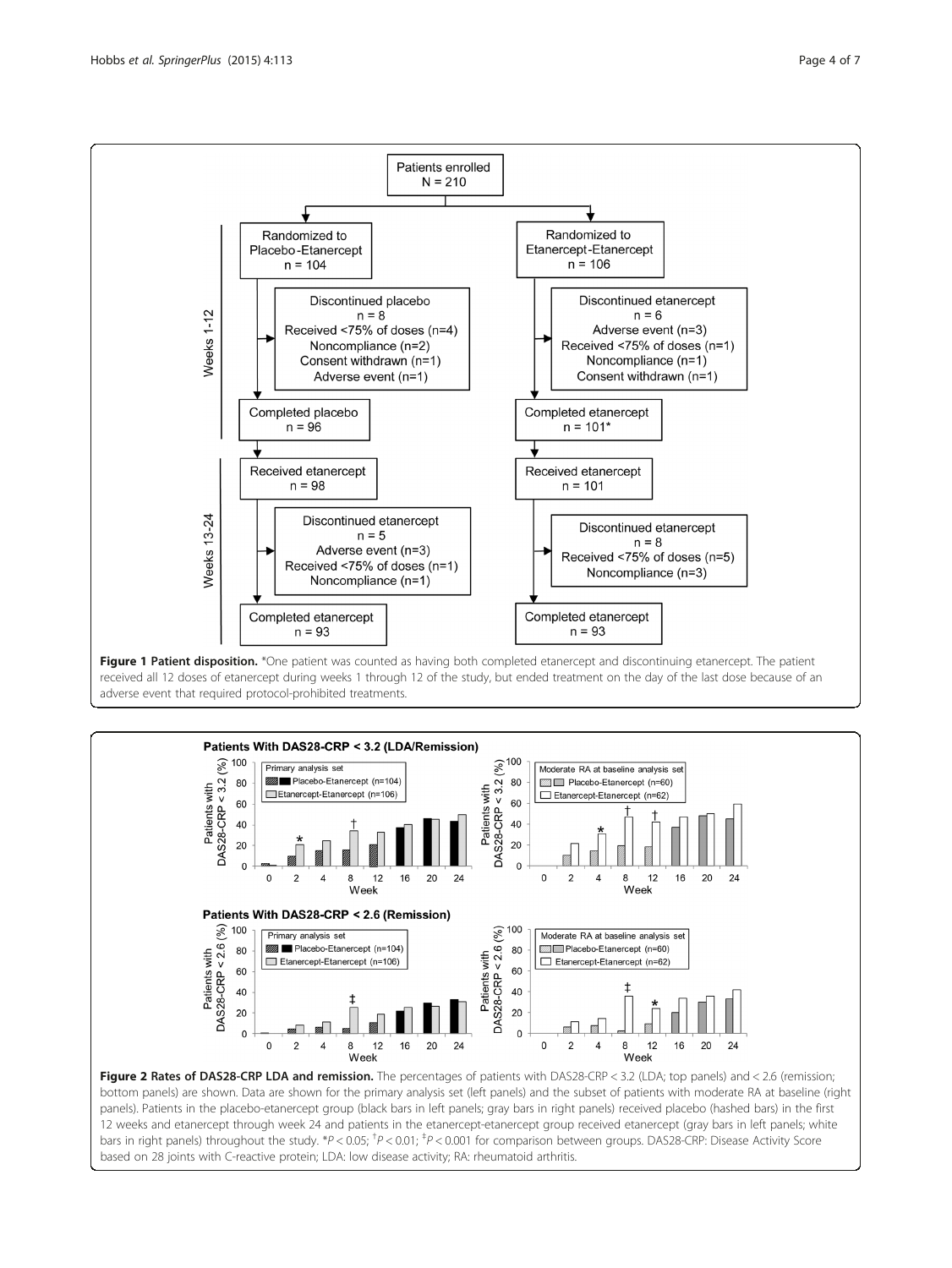

<span id="page-3-0"></span>

received all 12 doses of etanercept during weeks 1 through 12 of the study, but ended treatment on the day of the last dose because of an adverse event that required protocol-prohibited treatments.



12 weeks and etanercept through week 24 and patients in the etanercept-etanercept group received etanercept (gray bars in left panels; white bars in right panels) throughout the study. \*P < 0.05; <sup>†</sup>P < 0.01; <sup>‡</sup>P < 0.001 for comparison between groups. DAS28-CRP: Disease Activity Score based on 28 joints with C-reactive protein; LDA: low disease activity; RA: rheumatoid arthritis.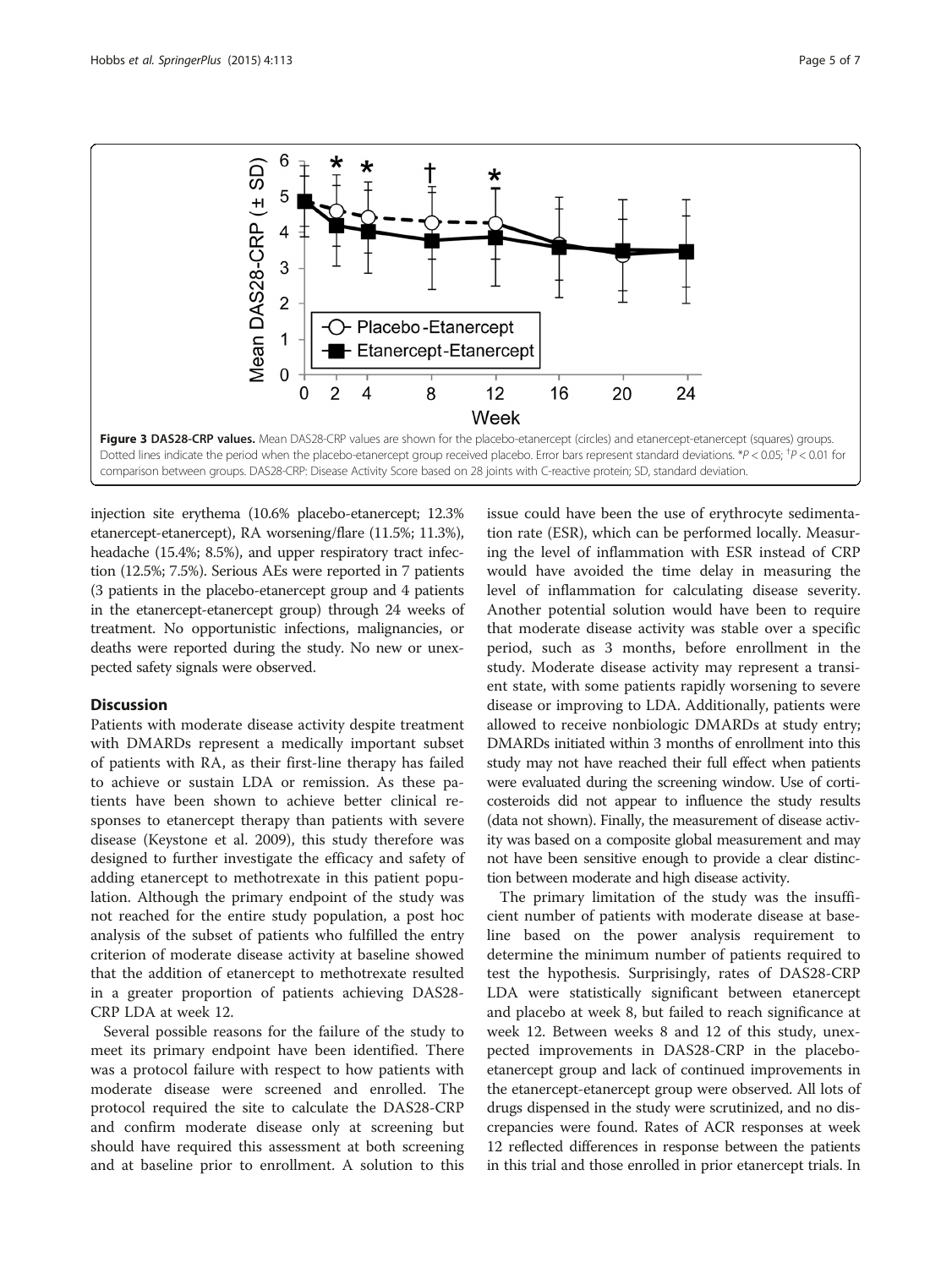<span id="page-4-0"></span>

injection site erythema (10.6% placebo-etanercept; 12.3% etanercept-etanercept), RA worsening/flare (11.5%; 11.3%), headache (15.4%; 8.5%), and upper respiratory tract infection (12.5%; 7.5%). Serious AEs were reported in 7 patients (3 patients in the placebo-etanercept group and 4 patients in the etanercept-etanercept group) through 24 weeks of treatment. No opportunistic infections, malignancies, or deaths were reported during the study. No new or unexpected safety signals were observed.

#### **Discussion**

Patients with moderate disease activity despite treatment with DMARDs represent a medically important subset of patients with RA, as their first-line therapy has failed to achieve or sustain LDA or remission. As these patients have been shown to achieve better clinical responses to etanercept therapy than patients with severe disease (Keystone et al. [2009](#page-6-0)), this study therefore was designed to further investigate the efficacy and safety of adding etanercept to methotrexate in this patient population. Although the primary endpoint of the study was not reached for the entire study population, a post hoc analysis of the subset of patients who fulfilled the entry criterion of moderate disease activity at baseline showed that the addition of etanercept to methotrexate resulted in a greater proportion of patients achieving DAS28- CRP LDA at week 12.

Several possible reasons for the failure of the study to meet its primary endpoint have been identified. There was a protocol failure with respect to how patients with moderate disease were screened and enrolled. The protocol required the site to calculate the DAS28-CRP and confirm moderate disease only at screening but should have required this assessment at both screening and at baseline prior to enrollment. A solution to this

issue could have been the use of erythrocyte sedimentation rate (ESR), which can be performed locally. Measuring the level of inflammation with ESR instead of CRP would have avoided the time delay in measuring the level of inflammation for calculating disease severity. Another potential solution would have been to require that moderate disease activity was stable over a specific period, such as 3 months, before enrollment in the study. Moderate disease activity may represent a transient state, with some patients rapidly worsening to severe disease or improving to LDA. Additionally, patients were allowed to receive nonbiologic DMARDs at study entry; DMARDs initiated within 3 months of enrollment into this study may not have reached their full effect when patients were evaluated during the screening window. Use of corticosteroids did not appear to influence the study results (data not shown). Finally, the measurement of disease activity was based on a composite global measurement and may not have been sensitive enough to provide a clear distinction between moderate and high disease activity.

The primary limitation of the study was the insufficient number of patients with moderate disease at baseline based on the power analysis requirement to determine the minimum number of patients required to test the hypothesis. Surprisingly, rates of DAS28-CRP LDA were statistically significant between etanercept and placebo at week 8, but failed to reach significance at week 12. Between weeks 8 and 12 of this study, unexpected improvements in DAS28-CRP in the placeboetanercept group and lack of continued improvements in the etanercept-etanercept group were observed. All lots of drugs dispensed in the study were scrutinized, and no discrepancies were found. Rates of ACR responses at week 12 reflected differences in response between the patients in this trial and those enrolled in prior etanercept trials. In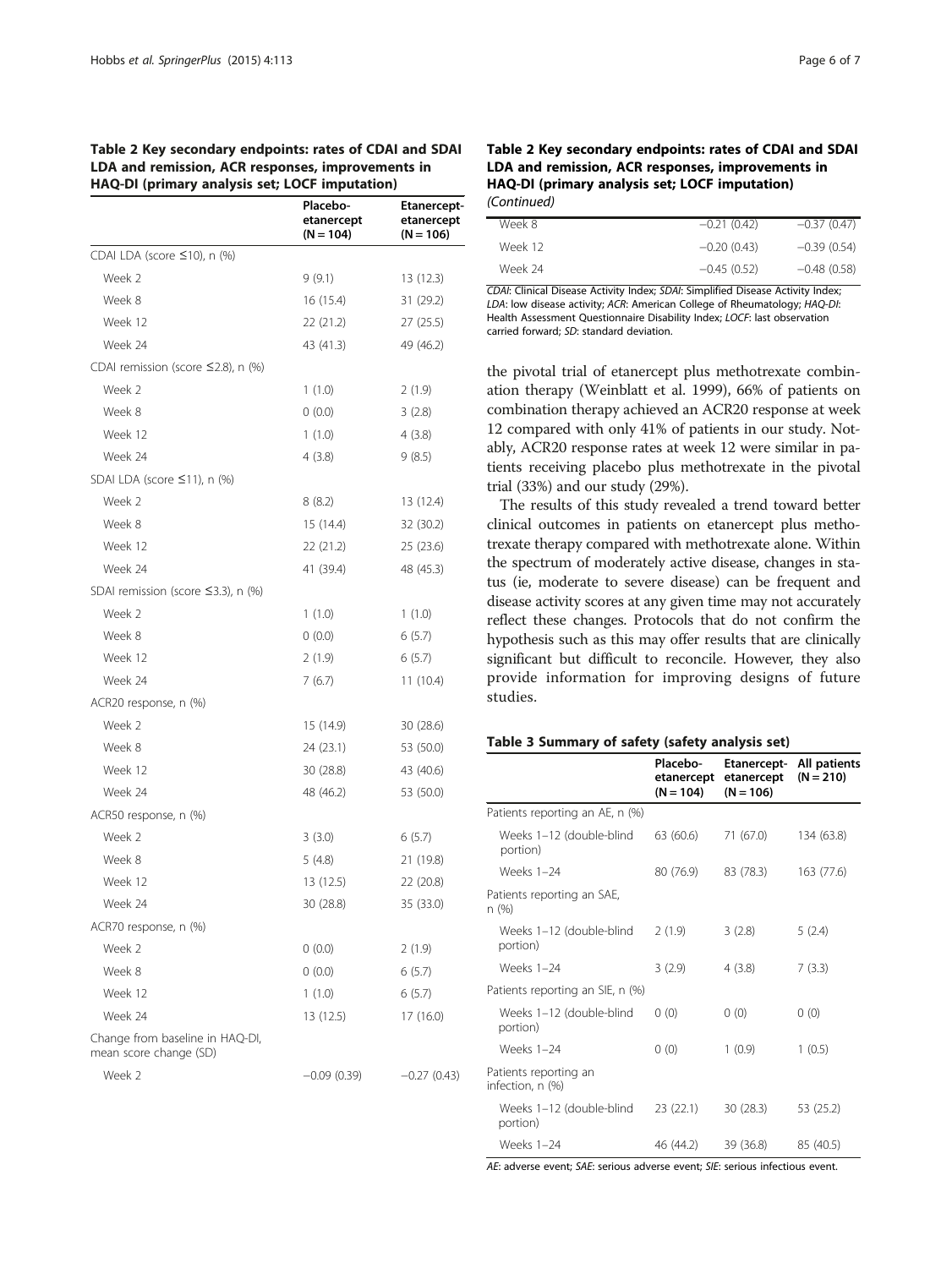#### <span id="page-5-0"></span>Table 2 Key secondary endpoints: rates of CDAI and SDAI LDA and remission, ACR responses, improvements in HAQ-DI (primary analysis set; LOCF imputation)

| .                                                         | p. 2<br><b>Placebo-</b><br>etanercept<br>$(N = 104)$ | <b>Etanercept-</b><br>etanercept<br>$(N = 106)$ |
|-----------------------------------------------------------|------------------------------------------------------|-------------------------------------------------|
| CDAI LDA (score ≤10), n (%)                               |                                                      |                                                 |
| Week 2                                                    | 9(9.1)                                               | 13 (12.3)                                       |
| Week 8                                                    | 16 (15.4)                                            | 31 (29.2)                                       |
| Week 12                                                   | 22 (21.2)                                            | 27 (25.5)                                       |
| Week 24                                                   | 43 (41.3)                                            | 49 (46.2)                                       |
| CDAI remission (score $\leq$ 2.8), n (%)                  |                                                      |                                                 |
| Week 2                                                    | 1(1.0)                                               | 2(1.9)                                          |
| Week 8                                                    | 0(0.0)                                               | 3(2.8)                                          |
| Week 12                                                   | 1(1.0)                                               | 4(3.8)                                          |
| Week 24                                                   | 4(3.8)                                               | 9(8.5)                                          |
| SDAI LDA (score ≤11), n (%)                               |                                                      |                                                 |
| Week 2                                                    | 8(8.2)                                               | 13 (12.4)                                       |
| Week 8                                                    | 15 (14.4)                                            | 32 (30.2)                                       |
| Week 12                                                   | 22 (21.2)                                            | 25 (23.6)                                       |
| Week 24                                                   | 41 (39.4)                                            | 48 (45.3)                                       |
| SDAI remission (score $\leq$ 3.3), n (%)                  |                                                      |                                                 |
| Week 2                                                    | 1(1.0)                                               | 1(1.0)                                          |
| Week 8                                                    | 0(0.0)                                               | 6(5.7)                                          |
| Week 12                                                   | 2(1.9)                                               | 6(5.7)                                          |
| Week 24                                                   | 7(6.7)                                               | 11(10.4)                                        |
| ACR20 response, n (%)                                     |                                                      |                                                 |
| Week 2                                                    | 15 (14.9)                                            | 30 (28.6)                                       |
| Week 8                                                    | 24 (23.1)                                            | 53 (50.0)                                       |
| Week 12                                                   | 30 (28.8)                                            | 43 (40.6)                                       |
| Week 24                                                   | 48 (46.2)                                            | 53 (50.0)                                       |
| ACR50 response, n (%)                                     |                                                      |                                                 |
| Week 2                                                    | 3(3.0)                                               | 6(5.7)                                          |
| Week 8                                                    | 5(4.8)                                               | 21 (19.8)                                       |
| Week 12                                                   | 13(12.5)                                             | 22 (20.8)                                       |
| Week 24                                                   | 30 (28.8)                                            | 35 (33.0)                                       |
| ACR70 response, n (%)                                     |                                                      |                                                 |
| Week 2                                                    | 0(0.0)                                               | 2(1.9)                                          |
| Week 8                                                    | (0.0)                                                | 6(5.7)                                          |
| Week 12                                                   | 1(1.0)                                               | 6(5.7)                                          |
| Week 24                                                   | 13 (12.5)                                            | 17 (16.0)                                       |
| Change from baseline in HAQ-DI,<br>mean score change (SD) |                                                      |                                                 |
| Week 2                                                    | $-0.09(0.39)$                                        | $-0.27(0.43)$                                   |

| Table 2 Key secondary endpoints: rates of CDAI and SDAI |
|---------------------------------------------------------|
| LDA and remission, ACR responses, improvements in       |
| HAQ-DI (primary analysis set; LOCF imputation)          |
| (Continued)                                             |

| Week 8  | $-0.21(0.42)$ | $-0.37(0.47)$ |
|---------|---------------|---------------|
| Week 12 | $-0.20(0.43)$ | $-0.39(0.54)$ |
| Week 24 | $-0.45(0.52)$ | $-0.48(0.58)$ |
|         |               |               |

CDAI: Clinical Disease Activity Index; SDAI: Simplified Disease Activity Index; LDA: low disease activity; ACR: American College of Rheumatology; HAQ-DI: Health Assessment Questionnaire Disability Index; LOCF: last observation carried forward; SD: standard deviation.

the pivotal trial of etanercept plus methotrexate combination therapy (Weinblatt et al. [1999](#page-6-0)), 66% of patients on combination therapy achieved an ACR20 response at week 12 compared with only 41% of patients in our study. Notably, ACR20 response rates at week 12 were similar in patients receiving placebo plus methotrexate in the pivotal trial (33%) and our study (29%).

The results of this study revealed a trend toward better clinical outcomes in patients on etanercept plus methotrexate therapy compared with methotrexate alone. Within the spectrum of moderately active disease, changes in status (ie, moderate to severe disease) can be frequent and disease activity scores at any given time may not accurately reflect these changes. Protocols that do not confirm the hypothesis such as this may offer results that are clinically significant but difficult to reconcile. However, they also provide information for improving designs of future studies.

#### Table 3 Summary of safety (safety analysis set)

|                                           | Placebo-<br>etanercept<br>$(N = 104)$ | Etanercept-<br>etanercept<br>$(N = 106)$ | All patients<br>$(N = 210)$ |
|-------------------------------------------|---------------------------------------|------------------------------------------|-----------------------------|
| Patients reporting an AE, n (%)           |                                       |                                          |                             |
| Weeks 1-12 (double-blind<br>portion)      | 63 (60.6)                             | 71 (67.0)                                | 134 (63.8)                  |
| Weeks 1-24                                | 80 (76.9)                             | 83 (78.3)                                | 163 (77.6)                  |
| Patients reporting an SAE,<br>n (%)       |                                       |                                          |                             |
| Weeks 1-12 (double-blind<br>portion)      | 2(1.9)                                | 3(2.8)                                   | 5(2.4)                      |
| Weeks 1-24                                | 3(2.9)                                | 4(3.8)                                   | 7(3.3)                      |
| Patients reporting an SIE, n (%)          |                                       |                                          |                             |
| Weeks 1-12 (double-blind<br>portion)      | 0(0)                                  | 0(0)                                     | 0(0)                        |
| <b>Weeks 1-24</b>                         | 0(0)                                  | 1(0.9)                                   | 1(0.5)                      |
| Patients reporting an<br>infection, n (%) |                                       |                                          |                             |
| Weeks 1–12 (double-blind<br>portion)      | 23(22.1)                              | 30 (28.3)                                | 53 (25.2)                   |
| <b>Weeks 1-24</b>                         | 46 (44.2)                             | 39 (36.8)                                | 85 (40.5)                   |

AE: adverse event; SAE: serious adverse event; SIE: serious infectious event.